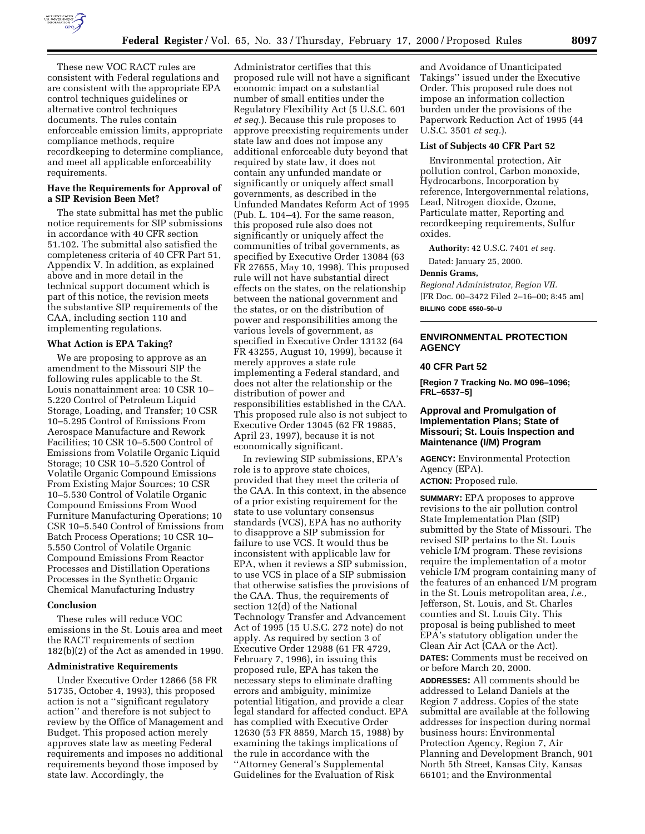

These new VOC RACT rules are consistent with Federal regulations and are consistent with the appropriate EPA control techniques guidelines or alternative control techniques documents. The rules contain enforceable emission limits, appropriate compliance methods, require recordkeeping to determine compliance, and meet all applicable enforceability requirements.

#### **Have the Requirements for Approval of a SIP Revision Been Met?**

The state submittal has met the public notice requirements for SIP submissions in accordance with 40 CFR section 51.102. The submittal also satisfied the completeness criteria of 40 CFR Part 51, Appendix V. In addition, as explained above and in more detail in the technical support document which is part of this notice, the revision meets the substantive SIP requirements of the CAA, including section 110 and implementing regulations.

## **What Action is EPA Taking?**

We are proposing to approve as an amendment to the Missouri SIP the following rules applicable to the St. Louis nonattainment area: 10 CSR 10– 5.220 Control of Petroleum Liquid Storage, Loading, and Transfer; 10 CSR 10–5.295 Control of Emissions From Aerospace Manufacture and Rework Facilities; 10 CSR 10–5.500 Control of Emissions from Volatile Organic Liquid Storage; 10 CSR 10–5.520 Control of Volatile Organic Compound Emissions From Existing Major Sources; 10 CSR 10–5.530 Control of Volatile Organic Compound Emissions From Wood Furniture Manufacturing Operations; 10 CSR 10–5.540 Control of Emissions from Batch Process Operations; 10 CSR 10– 5.550 Control of Volatile Organic Compound Emissions From Reactor Processes and Distillation Operations Processes in the Synthetic Organic Chemical Manufacturing Industry

#### **Conclusion**

These rules will reduce VOC emissions in the St. Louis area and meet the RACT requirements of section 182(b)(2) of the Act as amended in 1990.

#### **Administrative Requirements**

Under Executive Order 12866 (58 FR 51735, October 4, 1993), this proposed action is not a ''significant regulatory action'' and therefore is not subject to review by the Office of Management and Budget. This proposed action merely approves state law as meeting Federal requirements and imposes no additional requirements beyond those imposed by state law. Accordingly, the

Administrator certifies that this proposed rule will not have a significant economic impact on a substantial number of small entities under the Regulatory Flexibility Act (5 U.S.C. 601 *et seq.*). Because this rule proposes to approve preexisting requirements under state law and does not impose any additional enforceable duty beyond that required by state law, it does not contain any unfunded mandate or significantly or uniquely affect small governments, as described in the Unfunded Mandates Reform Act of 1995 (Pub. L. 104–4). For the same reason, this proposed rule also does not significantly or uniquely affect the communities of tribal governments, as specified by Executive Order 13084 (63 FR 27655, May 10, 1998). This proposed rule will not have substantial direct effects on the states, on the relationship between the national government and the states, or on the distribution of power and responsibilities among the various levels of government, as specified in Executive Order 13132 (64 FR 43255, August 10, 1999), because it merely approves a state rule implementing a Federal standard, and does not alter the relationship or the distribution of power and responsibilities established in the CAA. This proposed rule also is not subject to Executive Order 13045 (62 FR 19885, April 23, 1997), because it is not economically significant.

In reviewing SIP submissions, EPA's role is to approve state choices, provided that they meet the criteria of the CAA. In this context, in the absence of a prior existing requirement for the state to use voluntary consensus standards (VCS), EPA has no authority to disapprove a SIP submission for failure to use VCS. It would thus be inconsistent with applicable law for EPA, when it reviews a SIP submission, to use VCS in place of a SIP submission that otherwise satisfies the provisions of the CAA. Thus, the requirements of section 12(d) of the National Technology Transfer and Advancement Act of 1995 (15 U.S.C. 272 note) do not apply. As required by section 3 of Executive Order 12988 (61 FR 4729, February 7, 1996), in issuing this proposed rule, EPA has taken the necessary steps to eliminate drafting errors and ambiguity, minimize potential litigation, and provide a clear legal standard for affected conduct. EPA has complied with Executive Order 12630 (53 FR 8859, March 15, 1988) by examining the takings implications of the rule in accordance with the ''Attorney General's Supplemental Guidelines for the Evaluation of Risk

and Avoidance of Unanticipated Takings'' issued under the Executive Order. This proposed rule does not impose an information collection burden under the provisions of the Paperwork Reduction Act of 1995 (44 U.S.C. 3501 *et seq.*).

#### **List of Subjects 40 CFR Part 52**

Environmental protection, Air pollution control, Carbon monoxide, Hydrocarbons, Incorporation by reference, Intergovernmental relations, Lead, Nitrogen dioxide, Ozone, Particulate matter, Reporting and recordkeeping requirements, Sulfur oxides.

**Authority:** 42 U.S.C. 7401 *et seq.*

Dated: January 25, 2000.

#### **Dennis Grams,**

*Regional Administrator, Region VII.* [FR Doc. 00–3472 Filed 2–16–00; 8:45 am] **BILLING CODE 6560–50–U**

# **ENVIRONMENTAL PROTECTION AGENCY**

#### **40 CFR Part 52**

**[Region 7 Tracking No. MO 096–1096; FRL–6537–5]**

## **Approval and Promulgation of Implementation Plans; State of Missouri; St. Louis Inspection and Maintenance (I/M) Program**

**AGENCY:** Environmental Protection Agency (EPA).

**ACTION:** Proposed rule.

**SUMMARY:** EPA proposes to approve revisions to the air pollution control State Implementation Plan (SIP) submitted by the State of Missouri. The revised SIP pertains to the St. Louis vehicle I/M program. These revisions require the implementation of a motor vehicle I/M program containing many of the features of an enhanced I/M program in the St. Louis metropolitan area, *i.e.,* Jefferson, St. Louis, and St. Charles counties and St. Louis City. This proposal is being published to meet EPA's statutory obligation under the Clean Air Act (CAA or the Act). **DATES:** Comments must be received on or before March 20, 2000.

**ADDRESSES:** All comments should be addressed to Leland Daniels at the Region 7 address. Copies of the state submittal are available at the following addresses for inspection during normal business hours: Environmental Protection Agency, Region 7, Air Planning and Development Branch, 901 North 5th Street, Kansas City, Kansas 66101; and the Environmental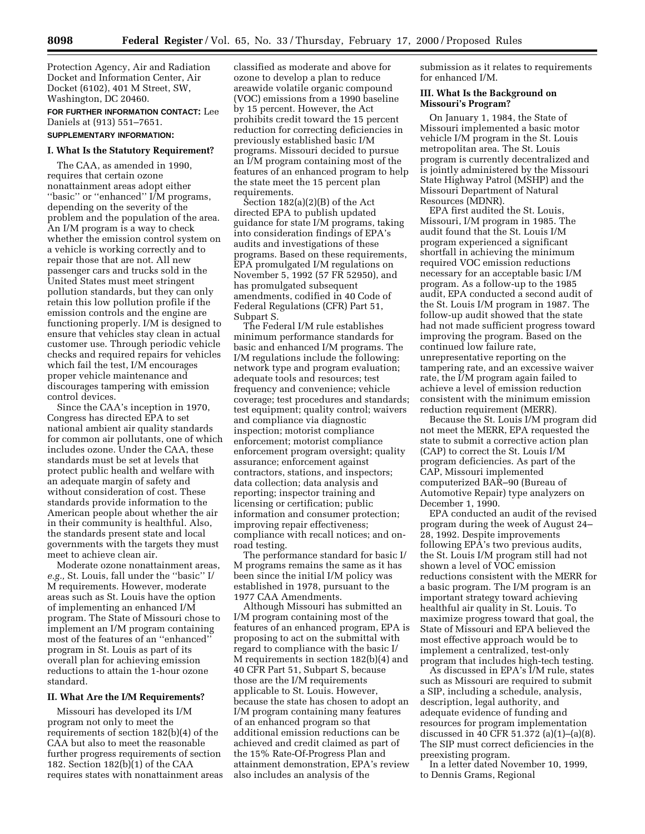Protection Agency, Air and Radiation Docket and Information Center, Air Docket (6102), 401 M Street, SW, Washington, DC 20460.

**FOR FURTHER INFORMATION CONTACT:** Lee Daniels at (913) 551–7651.

#### **SUPPLEMENTARY INFORMATION:**

### **I. What Is the Statutory Requirement?**

The CAA, as amended in 1990, requires that certain ozone nonattainment areas adopt either ''basic'' or ''enhanced'' I/M programs, depending on the severity of the problem and the population of the area. An I/M program is a way to check whether the emission control system on a vehicle is working correctly and to repair those that are not. All new passenger cars and trucks sold in the United States must meet stringent pollution standards, but they can only retain this low pollution profile if the emission controls and the engine are functioning properly. I/M is designed to ensure that vehicles stay clean in actual customer use. Through periodic vehicle checks and required repairs for vehicles which fail the test, I/M encourages proper vehicle maintenance and discourages tampering with emission control devices.

Since the CAA's inception in 1970, Congress has directed EPA to set national ambient air quality standards for common air pollutants, one of which includes ozone. Under the CAA, these standards must be set at levels that protect public health and welfare with an adequate margin of safety and without consideration of cost. These standards provide information to the American people about whether the air in their community is healthful. Also, the standards present state and local governments with the targets they must meet to achieve clean air.

Moderate ozone nonattainment areas, *e.g.,* St. Louis, fall under the ''basic'' I/ M requirements. However, moderate areas such as St. Louis have the option of implementing an enhanced I/M program. The State of Missouri chose to implement an I/M program containing most of the features of an ''enhanced'' program in St. Louis as part of its overall plan for achieving emission reductions to attain the 1-hour ozone standard.

#### **II. What Are the I/M Requirements?**

Missouri has developed its I/M program not only to meet the requirements of section 182(b)(4) of the CAA but also to meet the reasonable further progress requirements of section 182. Section 182(b)(1) of the CAA requires states with nonattainment areas classified as moderate and above for ozone to develop a plan to reduce areawide volatile organic compound (VOC) emissions from a 1990 baseline by 15 percent. However, the Act prohibits credit toward the 15 percent reduction for correcting deficiencies in previously established basic I/M programs. Missouri decided to pursue an I/M program containing most of the features of an enhanced program to help the state meet the 15 percent plan requirements.

Section 182(a)(2)(B) of the Act directed EPA to publish updated guidance for state I/M programs, taking into consideration findings of EPA's audits and investigations of these programs. Based on these requirements, EPA promulgated I/M regulations on November 5, 1992 (57 FR 52950), and has promulgated subsequent amendments, codified in 40 Code of Federal Regulations (CFR) Part 51, Subpart S.

The Federal I/M rule establishes minimum performance standards for basic and enhanced I/M programs. The I/M regulations include the following: network type and program evaluation; adequate tools and resources; test frequency and convenience; vehicle coverage; test procedures and standards; test equipment; quality control; waivers and compliance via diagnostic inspection; motorist compliance enforcement; motorist compliance enforcement program oversight; quality assurance; enforcement against contractors, stations, and inspectors; data collection; data analysis and reporting; inspector training and licensing or certification; public information and consumer protection; improving repair effectiveness; compliance with recall notices; and onroad testing.

The performance standard for basic I/ M programs remains the same as it has been since the initial I/M policy was established in 1978, pursuant to the 1977 CAA Amendments.

Although Missouri has submitted an I/M program containing most of the features of an enhanced program, EPA is proposing to act on the submittal with regard to compliance with the basic I/ M requirements in section 182(b)(4) and 40 CFR Part 51, Subpart S, because those are the I/M requirements applicable to St. Louis. However, because the state has chosen to adopt an I/M program containing many features of an enhanced program so that additional emission reductions can be achieved and credit claimed as part of the 15% Rate-Of-Progress Plan and attainment demonstration, EPA's review also includes an analysis of the

submission as it relates to requirements for enhanced I/M.

#### **III. What Is the Background on Missouri's Program?**

On January 1, 1984, the State of Missouri implemented a basic motor vehicle I/M program in the St. Louis metropolitan area. The St. Louis program is currently decentralized and is jointly administered by the Missouri State Highway Patrol (MSHP) and the Missouri Department of Natural Resources (MDNR).

EPA first audited the St. Louis, Missouri, I/M program in 1985. The audit found that the St. Louis I/M program experienced a significant shortfall in achieving the minimum required VOC emission reductions necessary for an acceptable basic I/M program. As a follow-up to the 1985 audit, EPA conducted a second audit of the St. Louis I/M program in 1987. The follow-up audit showed that the state had not made sufficient progress toward improving the program. Based on the continued low failure rate, unrepresentative reporting on the tampering rate, and an excessive waiver rate, the I/M program again failed to achieve a level of emission reduction consistent with the minimum emission reduction requirement (MERR).

Because the St. Louis I/M program did not meet the MERR, EPA requested the state to submit a corrective action plan (CAP) to correct the St. Louis I/M program deficiencies. As part of the CAP, Missouri implemented computerized BAR–90 (Bureau of Automotive Repair) type analyzers on December 1, 1990.

EPA conducted an audit of the revised program during the week of August 24– 28, 1992. Despite improvements following EPA's two previous audits, the St. Louis I/M program still had not shown a level of VOC emission reductions consistent with the MERR for a basic program. The I/M program is an important strategy toward achieving healthful air quality in St. Louis. To maximize progress toward that goal, the State of Missouri and EPA believed the most effective approach would be to implement a centralized, test-only program that includes high-tech testing.

As discussed in EPA's I/M rule, states such as Missouri are required to submit a SIP, including a schedule, analysis, description, legal authority, and adequate evidence of funding and resources for program implementation discussed in 40 CFR 51.372 (a)(1)–(a)(8). The SIP must correct deficiencies in the preexisting program.

In a letter dated November 10, 1999, to Dennis Grams, Regional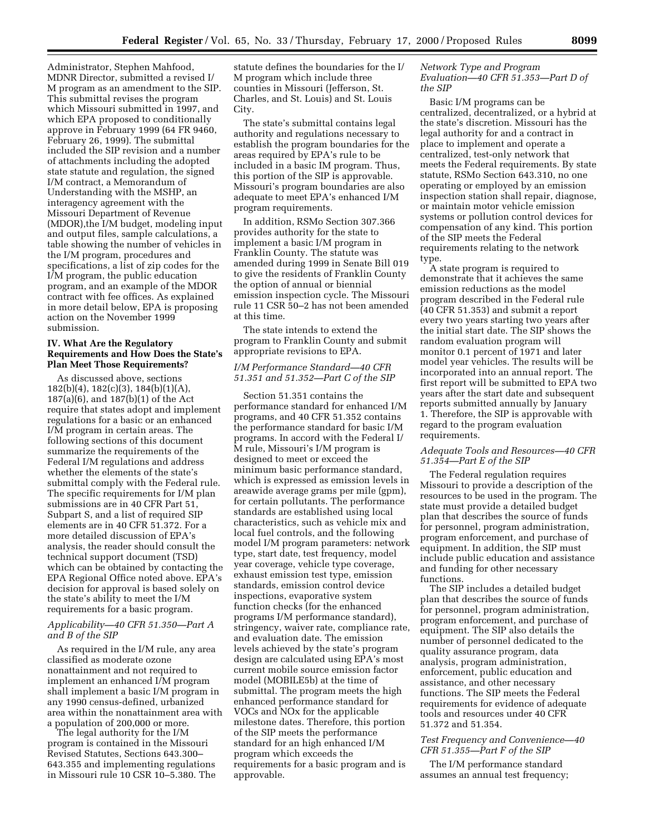Administrator, Stephen Mahfood, MDNR Director, submitted a revised I/ M program as an amendment to the SIP. This submittal revises the program which Missouri submitted in 1997, and which EPA proposed to conditionally approve in February 1999 (64 FR 9460, February 26, 1999). The submittal included the SIP revision and a number of attachments including the adopted state statute and regulation, the signed I/M contract, a Memorandum of Understanding with the MSHP, an interagency agreement with the Missouri Department of Revenue (MDOR),the I/M budget, modeling input and output files, sample calculations, a table showing the number of vehicles in the I/M program, procedures and specifications, a list of zip codes for the I/M program, the public education program, and an example of the MDOR contract with fee offices. As explained in more detail below, EPA is proposing action on the November 1999 submission.

#### **IV. What Are the Regulatory Requirements and How Does the State's Plan Meet Those Requirements?**

As discussed above, sections 182(b)(4), 182(c)(3), 184(b)(1)(A), 187(a)(6), and 187(b)(1) of the Act require that states adopt and implement regulations for a basic or an enhanced I/M program in certain areas. The following sections of this document summarize the requirements of the Federal I/M regulations and address whether the elements of the state's submittal comply with the Federal rule. The specific requirements for I/M plan submissions are in 40 CFR Part 51, Subpart S, and a list of required SIP elements are in 40 CFR 51.372. For a more detailed discussion of EPA's analysis, the reader should consult the technical support document (TSD) which can be obtained by contacting the EPA Regional Office noted above. EPA's decision for approval is based solely on the state's ability to meet the I/M requirements for a basic program.

# *Applicability—40 CFR 51.350—Part A and B of the SIP*

As required in the I/M rule, any area classified as moderate ozone nonattainment and not required to implement an enhanced I/M program shall implement a basic I/M program in any 1990 census-defined, urbanized area within the nonattainment area with a population of 200,000 or more.

The legal authority for the I/M program is contained in the Missouri Revised Statutes, Sections 643.300– 643.355 and implementing regulations in Missouri rule 10 CSR 10–5.380. The

statute defines the boundaries for the I/ M program which include three counties in Missouri (Jefferson, St. Charles, and St. Louis) and St. Louis City.

The state's submittal contains legal authority and regulations necessary to establish the program boundaries for the areas required by EPA's rule to be included in a basic IM program. Thus, this portion of the SIP is approvable. Missouri's program boundaries are also adequate to meet EPA's enhanced I/M program requirements.

In addition, RSMo Section 307.366 provides authority for the state to implement a basic I/M program in Franklin County. The statute was amended during 1999 in Senate Bill 019 to give the residents of Franklin County the option of annual or biennial emission inspection cycle. The Missouri rule 11 CSR 50–2 has not been amended at this time.

The state intends to extend the program to Franklin County and submit appropriate revisions to EPA.

### *I/M Performance Standard—40 CFR 51.351 and 51.352—Part C of the SIP*

Section 51.351 contains the performance standard for enhanced I/M programs, and 40 CFR 51.352 contains the performance standard for basic I/M programs. In accord with the Federal I/ M rule, Missouri's I/M program is designed to meet or exceed the minimum basic performance standard, which is expressed as emission levels in areawide average grams per mile (gpm), for certain pollutants. The performance standards are established using local characteristics, such as vehicle mix and local fuel controls, and the following model I/M program parameters: network type, start date, test frequency, model year coverage, vehicle type coverage, exhaust emission test type, emission standards, emission control device inspections, evaporative system function checks (for the enhanced programs I/M performance standard), stringency, waiver rate, compliance rate, and evaluation date. The emission levels achieved by the state's program design are calculated using EPA's most current mobile source emission factor model (MOBILE5b) at the time of submittal. The program meets the high enhanced performance standard for VOCs and NOx for the applicable milestone dates. Therefore, this portion of the SIP meets the performance standard for an high enhanced I/M program which exceeds the requirements for a basic program and is approvable.

# *Network Type and Program Evaluation—40 CFR 51.353—Part D of the SIP*

Basic I/M programs can be centralized, decentralized, or a hybrid at the state's discretion. Missouri has the legal authority for and a contract in place to implement and operate a centralized, test-only network that meets the Federal requirements. By state statute, RSMo Section 643.310, no one operating or employed by an emission inspection station shall repair, diagnose, or maintain motor vehicle emission systems or pollution control devices for compensation of any kind. This portion of the SIP meets the Federal requirements relating to the network type.

A state program is required to demonstrate that it achieves the same emission reductions as the model program described in the Federal rule (40 CFR 51.353) and submit a report every two years starting two years after the initial start date. The SIP shows the random evaluation program will monitor 0.1 percent of 1971 and later model year vehicles. The results will be incorporated into an annual report. The first report will be submitted to EPA two years after the start date and subsequent reports submitted annually by January 1. Therefore, the SIP is approvable with regard to the program evaluation requirements.

# *Adequate Tools and Resources—40 CFR 51.354—Part E of the SIP*

The Federal regulation requires Missouri to provide a description of the resources to be used in the program. The state must provide a detailed budget plan that describes the source of funds for personnel, program administration, program enforcement, and purchase of equipment. In addition, the SIP must include public education and assistance and funding for other necessary functions.

The SIP includes a detailed budget plan that describes the source of funds for personnel, program administration, program enforcement, and purchase of equipment. The SIP also details the number of personnel dedicated to the quality assurance program, data analysis, program administration, enforcement, public education and assistance, and other necessary functions. The SIP meets the Federal requirements for evidence of adequate tools and resources under 40 CFR 51.372 and 51.354.

# *Test Frequency and Convenience—40 CFR 51.355—Part F of the SIP*

The I/M performance standard assumes an annual test frequency;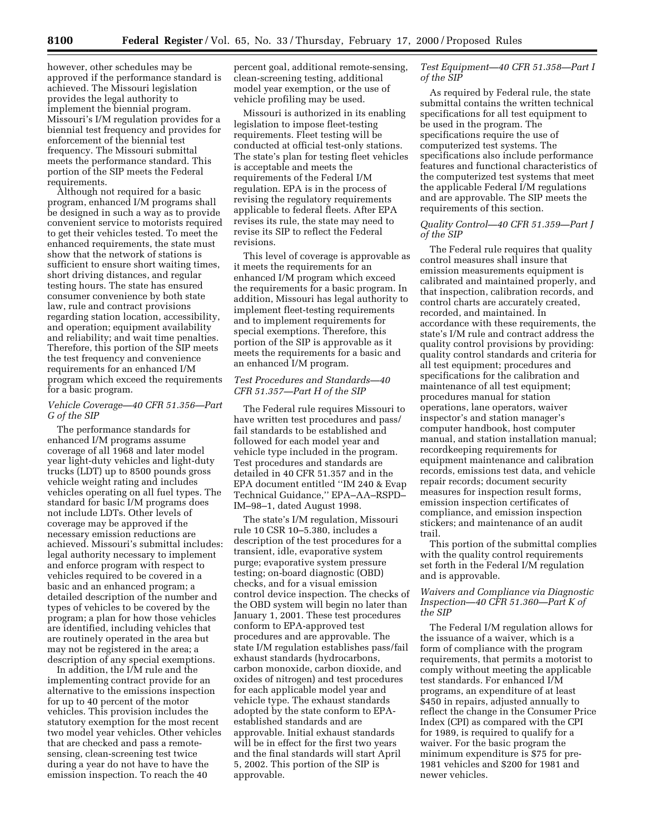however, other schedules may be approved if the performance standard is achieved. The Missouri legislation provides the legal authority to implement the biennial program. Missouri's I/M regulation provides for a biennial test frequency and provides for enforcement of the biennial test frequency. The Missouri submittal meets the performance standard. This portion of the SIP meets the Federal requirements.

Although not required for a basic program, enhanced I/M programs shall be designed in such a way as to provide convenient service to motorists required to get their vehicles tested. To meet the enhanced requirements, the state must show that the network of stations is sufficient to ensure short waiting times, short driving distances, and regular testing hours. The state has ensured consumer convenience by both state law, rule and contract provisions regarding station location, accessibility, and operation; equipment availability and reliability; and wait time penalties. Therefore, this portion of the SIP meets the test frequency and convenience requirements for an enhanced I/M program which exceed the requirements for a basic program.

# *Vehicle Coverage—40 CFR 51.356—Part G of the SIP*

The performance standards for enhanced I/M programs assume coverage of all 1968 and later model year light-duty vehicles and light-duty trucks (LDT) up to 8500 pounds gross vehicle weight rating and includes vehicles operating on all fuel types. The standard for basic I/M programs does not include LDTs. Other levels of coverage may be approved if the necessary emission reductions are achieved. Missouri's submittal includes: legal authority necessary to implement and enforce program with respect to vehicles required to be covered in a basic and an enhanced program; a detailed description of the number and types of vehicles to be covered by the program; a plan for how those vehicles are identified, including vehicles that are routinely operated in the area but may not be registered in the area; a description of any special exemptions.

In addition, the I/M rule and the implementing contract provide for an alternative to the emissions inspection for up to 40 percent of the motor vehicles. This provision includes the statutory exemption for the most recent two model year vehicles. Other vehicles that are checked and pass a remotesensing, clean-screening test twice during a year do not have to have the emission inspection. To reach the 40

percent goal, additional remote-sensing, clean-screening testing, additional model year exemption, or the use of vehicle profiling may be used.

Missouri is authorized in its enabling legislation to impose fleet-testing requirements. Fleet testing will be conducted at official test-only stations. The state's plan for testing fleet vehicles is acceptable and meets the requirements of the Federal I/M regulation. EPA is in the process of revising the regulatory requirements applicable to federal fleets. After EPA revises its rule, the state may need to revise its SIP to reflect the Federal revisions.

This level of coverage is approvable as it meets the requirements for an enhanced I/M program which exceed the requirements for a basic program. In addition, Missouri has legal authority to implement fleet-testing requirements and to implement requirements for special exemptions. Therefore, this portion of the SIP is approvable as it meets the requirements for a basic and an enhanced I/M program.

### *Test Procedures and Standards—40 CFR 51.357—Part H of the SIP*

The Federal rule requires Missouri to have written test procedures and pass/ fail standards to be established and followed for each model year and vehicle type included in the program. Test procedures and standards are detailed in 40 CFR 51.357 and in the EPA document entitled ''IM 240 & Evap Technical Guidance,'' EPA–AA–RSPD– IM–98–1, dated August 1998.

The state's I/M regulation, Missouri rule 10 CSR 10–5.380, includes a description of the test procedures for a transient, idle, evaporative system purge; evaporative system pressure testing; on-board diagnostic (OBD) checks, and for a visual emission control device inspection. The checks of the OBD system will begin no later than January 1, 2001. These test procedures conform to EPA-approved test procedures and are approvable. The state I/M regulation establishes pass/fail exhaust standards (hydrocarbons, carbon monoxide, carbon dioxide, and oxides of nitrogen) and test procedures for each applicable model year and vehicle type. The exhaust standards adopted by the state conform to EPAestablished standards and are approvable. Initial exhaust standards will be in effect for the first two years and the final standards will start April 5, 2002. This portion of the SIP is approvable.

# *Test Equipment—40 CFR 51.358—Part I of the SIP*

As required by Federal rule, the state submittal contains the written technical specifications for all test equipment to be used in the program. The specifications require the use of computerized test systems. The specifications also include performance features and functional characteristics of the computerized test systems that meet the applicable Federal I/M regulations and are approvable. The SIP meets the requirements of this section.

### *Quality Control—40 CFR 51.359—Part J of the SIP*

The Federal rule requires that quality control measures shall insure that emission measurements equipment is calibrated and maintained properly, and that inspection, calibration records, and control charts are accurately created, recorded, and maintained. In accordance with these requirements, the state's I/M rule and contract address the quality control provisions by providing: quality control standards and criteria for all test equipment; procedures and specifications for the calibration and maintenance of all test equipment; procedures manual for station operations, lane operators, waiver inspector's and station manager's computer handbook, host computer manual, and station installation manual; recordkeeping requirements for equipment maintenance and calibration records, emissions test data, and vehicle repair records; document security measures for inspection result forms, emission inspection certificates of compliance, and emission inspection stickers; and maintenance of an audit trail.

This portion of the submittal complies with the quality control requirements set forth in the Federal I/M regulation and is approvable.

# *Waivers and Compliance via Diagnostic Inspection—40 CFR 51.360—Part K of the SIP*

The Federal I/M regulation allows for the issuance of a waiver, which is a form of compliance with the program requirements, that permits a motorist to comply without meeting the applicable test standards. For enhanced I/M programs, an expenditure of at least \$450 in repairs, adjusted annually to reflect the change in the Consumer Price Index (CPI) as compared with the CPI for 1989, is required to qualify for a waiver. For the basic program the minimum expenditure is \$75 for pre-1981 vehicles and \$200 for 1981 and newer vehicles.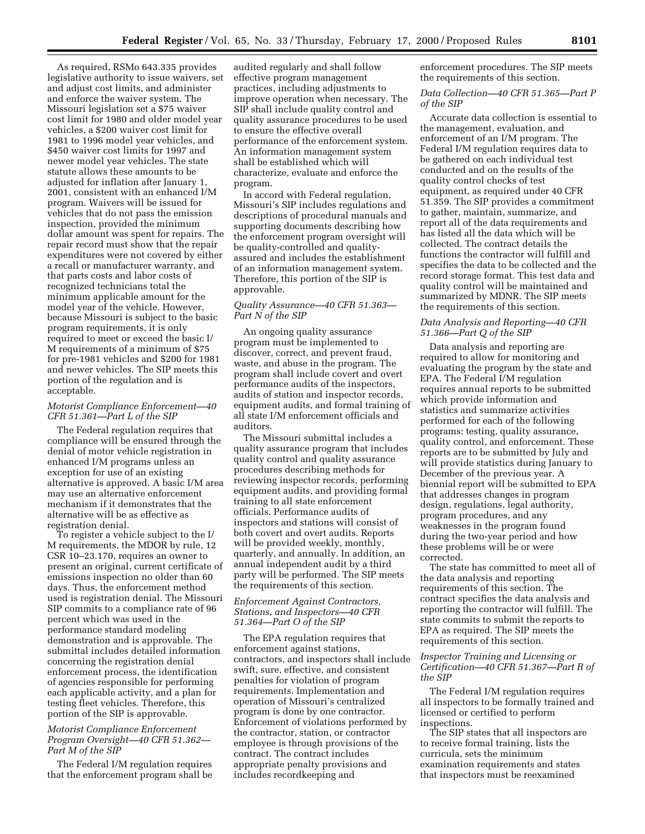As required, RSMo 643.335 provides legislative authority to issue waivers, set and adjust cost limits, and administer and enforce the waiver system. The Missouri legislation set a \$75 waiver cost limit for 1980 and older model year vehicles, a \$200 waiver cost limit for 1981 to 1996 model year vehicles, and \$450 waiver cost limits for 1997 and newer model year vehicles. The state statute allows these amounts to be adjusted for inflation after January 1, 2001, consistent with an enhanced I/M program. Waivers will be issued for vehicles that do not pass the emission inspection, provided the minimum dollar amount was spent for repairs. The repair record must show that the repair expenditures were not covered by either a recall or manufacturer warranty, and that parts costs and labor costs of recognized technicians total the minimum applicable amount for the model year of the vehicle. However, because Missouri is subject to the basic program requirements, it is only required to meet or exceed the basic I/ M requirements of a minimum of \$75 for pre-1981 vehicles and \$200 for 1981 and newer vehicles. The SIP meets this portion of the regulation and is acceptable.

#### *Motorist Compliance Enforcement—40 CFR 51.361—Part L of the SIP*

The Federal regulation requires that compliance will be ensured through the denial of motor vehicle registration in enhanced I/M programs unless an exception for use of an existing alternative is approved. A basic I/M area may use an alternative enforcement mechanism if it demonstrates that the alternative will be as effective as registration denial.

To register a vehicle subject to the I/ M requirements, the MDOR by rule, 12 CSR 10–23.170, requires an owner to present an original, current certificate of emissions inspection no older than 60 days. Thus, the enforcement method used is registration denial. The Missouri SIP commits to a compliance rate of 96 percent which was used in the performance standard modeling demonstration and is approvable. The submittal includes detailed information concerning the registration denial enforcement process, the identification of agencies responsible for performing each applicable activity, and a plan for testing fleet vehicles. Therefore, this portion of the SIP is approvable.

# *Motorist Compliance Enforcement Program Oversight—40 CFR 51.362— Part M of the SIP*

The Federal I/M regulation requires that the enforcement program shall be

audited regularly and shall follow effective program management practices, including adjustments to improve operation when necessary. The SIP shall include quality control and quality assurance procedures to be used to ensure the effective overall performance of the enforcement system. An information management system shall be established which will characterize, evaluate and enforce the program.

In accord with Federal regulation, Missouri's SIP includes regulations and descriptions of procedural manuals and supporting documents describing how the enforcement program oversight will be quality-controlled and qualityassured and includes the establishment of an information management system. Therefore, this portion of the SIP is approvable.

# *Quality Assurance—40 CFR 51.363— Part N of the SIP*

An ongoing quality assurance program must be implemented to discover, correct, and prevent fraud, waste, and abuse in the program. The program shall include covert and overt performance audits of the inspectors, audits of station and inspector records, equipment audits, and formal training of all state I/M enforcement officials and auditors.

The Missouri submittal includes a quality assurance program that includes quality control and quality assurance procedures describing methods for reviewing inspector records, performing equipment audits, and providing formal training to all state enforcement officials. Performance audits of inspectors and stations will consist of both covert and overt audits. Reports will be provided weekly, monthly, quarterly, and annually. In addition, an annual independent audit by a third party will be performed. The SIP meets the requirements of this section.

### *Enforcement Against Contractors, Stations, and Inspectors—40 CFR 51.364—Part O of the SIP*

The EPA regulation requires that enforcement against stations, contractors, and inspectors shall include swift, sure, effective, and consistent penalties for violation of program requirements. Implementation and operation of Missouri's centralized program is done by one contractor. Enforcement of violations performed by the contractor, station, or contractor employee is through provisions of the contract. The contract includes appropriate penalty provisions and includes recordkeeping and

enforcement procedures. The SIP meets the requirements of this section.

*Data Collection—40 CFR 51.365—Part P of the SIP*

Accurate data collection is essential to the management, evaluation, and enforcement of an I/M program. The Federal I/M regulation requires data to be gathered on each individual test conducted and on the results of the quality control checks of test equipment, as required under 40 CFR 51.359. The SIP provides a commitment to gather, maintain, summarize, and report all of the data requirements and has listed all the data which will be collected. The contract details the functions the contractor will fulfill and specifies the data to be collected and the record storage format. This test data and quality control will be maintained and summarized by MDNR. The SIP meets the requirements of this section.

# *Data Analysis and Reporting—40 CFR 51.366—Part Q of the SIP*

Data analysis and reporting are required to allow for monitoring and evaluating the program by the state and EPA. The Federal I/M regulation requires annual reports to be submitted which provide information and statistics and summarize activities performed for each of the following programs: testing, quality assurance, quality control, and enforcement. These reports are to be submitted by July and will provide statistics during January to December of the previous year. A biennial report will be submitted to EPA that addresses changes in program design, regulations, legal authority, program procedures, and any weaknesses in the program found during the two-year period and how these problems will be or were corrected.

The state has committed to meet all of the data analysis and reporting requirements of this section. The contract specifies the data analysis and reporting the contractor will fulfill. The state commits to submit the reports to EPA as required. The SIP meets the requirements of this section.

# *Inspector Training and Licensing or Certification—40 CFR 51.367—Part R of the SIP*

The Federal I/M regulation requires all inspectors to be formally trained and licensed or certified to perform inspections.

The SIP states that all inspectors are to receive formal training, lists the curricula, sets the minimum examination requirements and states that inspectors must be reexamined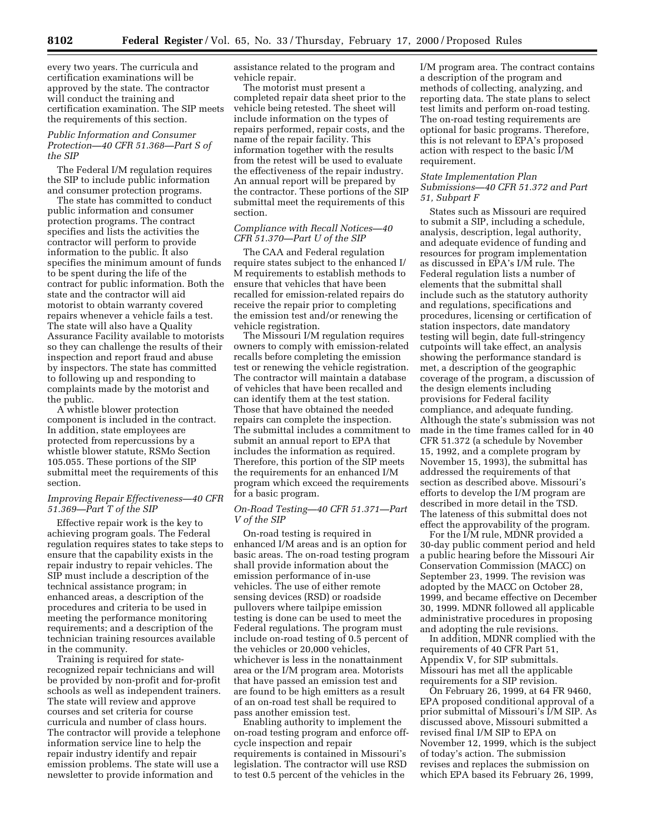every two years. The curricula and certification examinations will be approved by the state. The contractor will conduct the training and certification examination. The SIP meets the requirements of this section.

#### *Public Information and Consumer Protection—40 CFR 51.368—Part S of the SIP*

The Federal I/M regulation requires the SIP to include public information and consumer protection programs.

The state has committed to conduct public information and consumer protection programs. The contract specifies and lists the activities the contractor will perform to provide information to the public. It also specifies the minimum amount of funds to be spent during the life of the contract for public information. Both the state and the contractor will aid motorist to obtain warranty covered repairs whenever a vehicle fails a test. The state will also have a Quality Assurance Facility available to motorists so they can challenge the results of their inspection and report fraud and abuse by inspectors. The state has committed to following up and responding to complaints made by the motorist and the public.

A whistle blower protection component is included in the contract. In addition, state employees are protected from repercussions by a whistle blower statute, RSMo Section 105.055. These portions of the SIP submittal meet the requirements of this section.

# *Improving Repair Effectiveness—40 CFR 51.369—Part T of the SIP*

Effective repair work is the key to achieving program goals. The Federal regulation requires states to take steps to ensure that the capability exists in the repair industry to repair vehicles. The SIP must include a description of the technical assistance program; in enhanced areas, a description of the procedures and criteria to be used in meeting the performance monitoring requirements; and a description of the technician training resources available in the community.

Training is required for staterecognized repair technicians and will be provided by non-profit and for-profit schools as well as independent trainers. The state will review and approve courses and set criteria for course curricula and number of class hours. The contractor will provide a telephone information service line to help the repair industry identify and repair emission problems. The state will use a newsletter to provide information and

assistance related to the program and vehicle repair.

The motorist must present a completed repair data sheet prior to the vehicle being retested. The sheet will include information on the types of repairs performed, repair costs, and the name of the repair facility. This information together with the results from the retest will be used to evaluate the effectiveness of the repair industry. An annual report will be prepared by the contractor. These portions of the SIP submittal meet the requirements of this section.

# *Compliance with Recall Notices—40 CFR 51.370—Part U of the SIP*

The CAA and Federal regulation require states subject to the enhanced I/ M requirements to establish methods to ensure that vehicles that have been recalled for emission-related repairs do receive the repair prior to completing the emission test and/or renewing the vehicle registration.

The Missouri I/M regulation requires owners to comply with emission-related recalls before completing the emission test or renewing the vehicle registration. The contractor will maintain a database of vehicles that have been recalled and can identify them at the test station. Those that have obtained the needed repairs can complete the inspection. The submittal includes a commitment to submit an annual report to EPA that includes the information as required. Therefore, this portion of the SIP meets the requirements for an enhanced I/M program which exceed the requirements for a basic program.

# *On-Road Testing—40 CFR 51.371—Part V of the SIP*

On-road testing is required in enhanced I/M areas and is an option for basic areas. The on-road testing program shall provide information about the emission performance of in-use vehicles. The use of either remote sensing devices (RSD) or roadside pullovers where tailpipe emission testing is done can be used to meet the Federal regulations. The program must include on-road testing of 0.5 percent of the vehicles or 20,000 vehicles, whichever is less in the nonattainment area or the I/M program area. Motorists that have passed an emission test and are found to be high emitters as a result of an on-road test shall be required to pass another emission test.

Enabling authority to implement the on-road testing program and enforce offcycle inspection and repair requirements is contained in Missouri's legislation. The contractor will use RSD to test 0.5 percent of the vehicles in the

I/M program area. The contract contains a description of the program and methods of collecting, analyzing, and reporting data. The state plans to select test limits and perform on-road testing. The on-road testing requirements are optional for basic programs. Therefore, this is not relevant to EPA's proposed action with respect to the basic I/M requirement.

### *State Implementation Plan Submissions—40 CFR 51.372 and Part 51, Subpart F*

States such as Missouri are required to submit a SIP, including a schedule, analysis, description, legal authority, and adequate evidence of funding and resources for program implementation as discussed in EPA's I/M rule. The Federal regulation lists a number of elements that the submittal shall include such as the statutory authority and regulations, specifications and procedures, licensing or certification of station inspectors, date mandatory testing will begin, date full-stringency cutpoints will take effect, an analysis showing the performance standard is met, a description of the geographic coverage of the program, a discussion of the design elements including provisions for Federal facility compliance, and adequate funding. Although the state's submission was not made in the time frames called for in 40 CFR 51.372 (a schedule by November 15, 1992, and a complete program by November 15, 1993), the submittal has addressed the requirements of that section as described above. Missouri's efforts to develop the I/M program are described in more detail in the TSD. The lateness of this submittal does not effect the approvability of the program.

For the I/M rule, MDNR provided a 30-day public comment period and held a public hearing before the Missouri Air Conservation Commission (MACC) on September 23, 1999. The revision was adopted by the MACC on October 28, 1999, and became effective on December 30, 1999. MDNR followed all applicable administrative procedures in proposing and adopting the rule revisions.

In addition, MDNR complied with the requirements of 40 CFR Part 51, Appendix V, for SIP submittals. Missouri has met all the applicable requirements for a SIP revision.

On February 26, 1999, at 64 FR 9460, EPA proposed conditional approval of a prior submittal of Missouri's I/M SIP. As discussed above, Missouri submitted a revised final I/M SIP to EPA on November 12, 1999, which is the subject of today's action. The submission revises and replaces the submission on which EPA based its February 26, 1999,